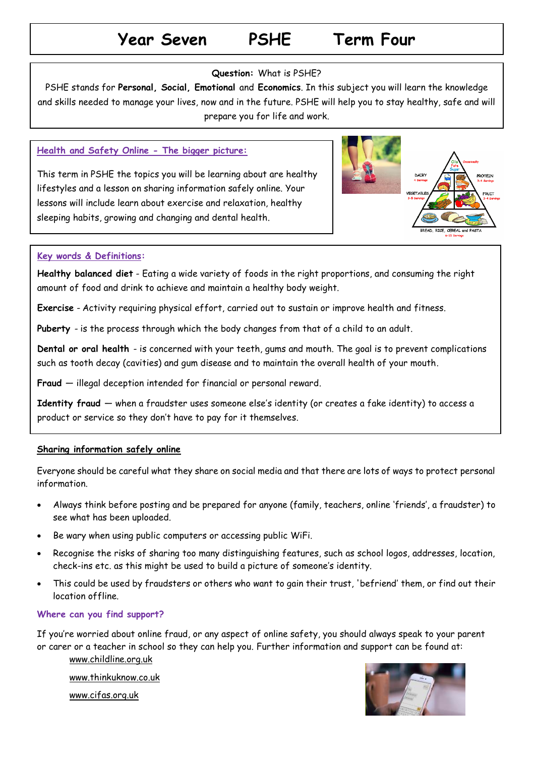## **Year Seven PSHE Term Four**

### **Question:** What is PSHE?

PSHE stands for **Personal, Social, Emotional** and **Economics**. In this subject you will learn the knowledge and skills needed to manage your lives, now and in the future. PSHE will help you to stay healthy, safe and will prepare you for life and work.

### **Health and Safety Online - The bigger picture:**

This term in PSHE the topics you will be learning about are healthy lifestyles and a lesson on sharing information safely online. Your lessons will include learn about exercise and relaxation, healthy sleeping habits, growing and changing and dental health.



### **Key words & Definitions:**

**Healthy balanced diet** - Eating a wide variety of foods in the right proportions, and consuming the right amount of food and drink to achieve and maintain a healthy body weight.

**Exercise** - Activity requiring physical effort, carried out to sustain or improve health and fitness.

**Puberty** - is the process through which the body changes from that of a child to an adult.

**Dental or oral health** - is concerned with your teeth, gums and mouth. The goal is to prevent complications such as tooth decay (cavities) and gum disease and to maintain the overall health of your mouth.

**Fraud** — illegal deception intended for financial or personal reward.

**Identity fraud** — when a fraudster uses someone else's identity (or creates a fake identity) to access a product or service so they don't have to pay for it themselves.

### **Sharing information safely online**

Everyone should be careful what they share on social media and that there are lots of ways to protect personal information.

- Always think before posting and be prepared for anyone (family, teachers, online 'friends', a fraudster) to see what has been uploaded.
- Be wary when using public computers or accessing public WiFi.
- Recognise the risks of sharing too many distinguishing features, such as school logos, addresses, location, check-ins etc. as this might be used to build a picture of someone's identity.
- This could be used by fraudsters or others who want to gain their trust, 'befriend' them, or find out their location offline.

### **Where can you find support?**

If you're worried about online fraud, or any aspect of online safety, you should always speak to your parent or carer or a teacher in school so they can help you. Further information and support can be found at:

[www.childline.org.uk](http://www.childline.org.uk/)

[www.thinkuknow.co.uk](http://www.thinkuknow.co.uk/)

[www.cifas.org.uk](http://www.cifas.org.uk/)

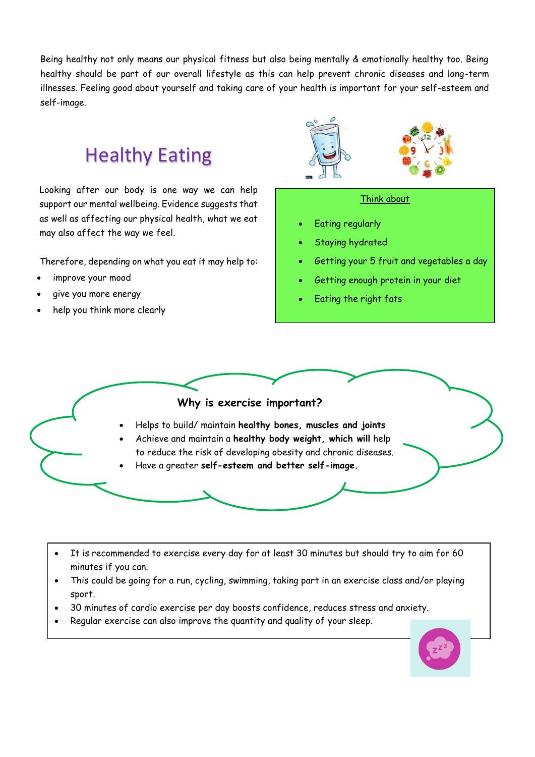Being healthy not only means our physical fitness but also being mentally & emotionally healthy too. Being healthy should be part of our overall lifestyle as this can help prevent chronic diseases and long-term illnesses. Feeling good about yourself and taking care of your health is important for your self-esteem and self-image.

## Healthy Eating

Looking after our body is one way we can help support our mental wellbeing. Evidence suggests that as well as affecting our physical health, what we eat may also affect the way we feel.

Therefore, depending on what you eat it may help to:

- improve your mood
- give you more energy
- help you think more clearly





#### Think about

- Eating regularly
- Staying hydrated
- Getting your 5 fruit and vegetables a day
- Getting enough protein in your diet
- Eating the right fats

### **Why is exercise important?**

- Helps to build/ maintain **healthy bones, muscles and joints**
- Achieve and maintain a **healthy body weight, which will** help to reduce the risk of developing obesity and chronic diseases.
- Have a greater **self-esteem and better self-image.**
- It is recommended to exercise every day for at least 30 minutes but should try to aim for 60 minutes if you can.
- This could be going for a run, cycling, swimming, taking part in an exercise class and/or playing sport.
- 30 minutes of cardio exercise per day boosts confidence, reduces stress and anxiety.
- Regular exercise can also improve the quantity and quality of your sleep.